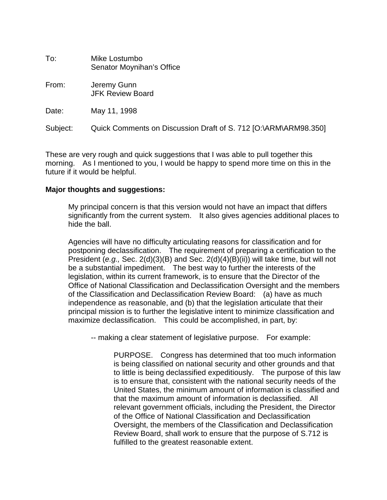| To:      | Mike Lostumbo<br>Senator Moynihan's Office                      |
|----------|-----------------------------------------------------------------|
| From:    | Jeremy Gunn<br><b>JFK Review Board</b>                          |
| Date:    | May 11, 1998                                                    |
| Subject: | Quick Comments on Discussion Draft of S. 712 [O:\ARM\ARM98.350] |

These are very rough and quick suggestions that I was able to pull together this morning. As I mentioned to you, I would be happy to spend more time on this in the future if it would be helpful.

# **Major thoughts and suggestions:**

My principal concern is that this version would not have an impact that differs significantly from the current system. It also gives agencies additional places to hide the ball.

Agencies will have no difficulty articulating reasons for classification and for postponing declassification. The requirement of preparing a certification to the President (*e.g.,* Sec. 2(d)(3)(B) and Sec. 2(d)(4)(B)(ii)) will take time, but will not be a substantial impediment. The best way to further the interests of the legislation, within its current framework, is to ensure that the Director of the Office of National Classification and Declassification Oversight and the members of the Classification and Declassification Review Board: (a) have as much independence as reasonable, and (b) that the legislation articulate that their principal mission is to further the legislative intent to minimize classification and maximize declassification. This could be accomplished, in part, by:

-- making a clear statement of legislative purpose. For example:

PURPOSE. Congress has determined that too much information is being classified on national security and other grounds and that to little is being declassified expeditiously. The purpose of this law is to ensure that, consistent with the national security needs of the United States, the minimum amount of information is classified and that the maximum amount of information is declassified. All relevant government officials, including the President, the Director of the Office of National Classification and Declassification Oversight, the members of the Classification and Declassification Review Board, shall work to ensure that the purpose of S.712 is fulfilled to the greatest reasonable extent.